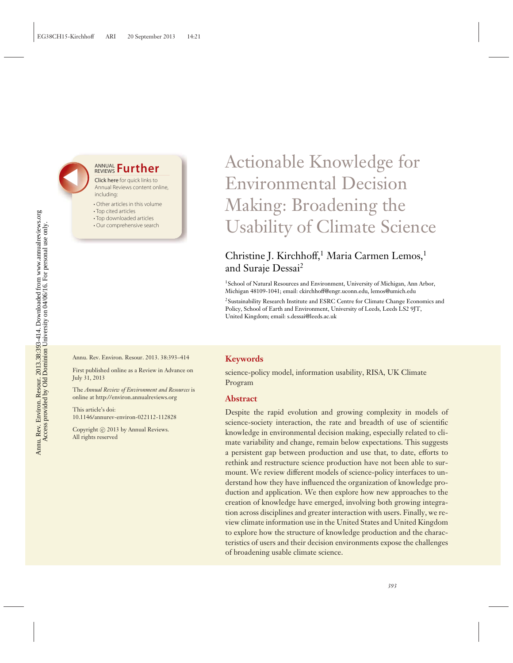# **ANNUAL Further**

Click here for quick links to Annual Reviews content online, including:

- Other articles in this volume
- Top cited articles
- Top downloaded articles
- Our comprehensive search

# Actionable Knowledge for Environmental Decision Making: Broadening the Usability of Climate Science

# Christine J. Kirchhoff,<sup>1</sup> Maria Carmen Lemos,<sup>1</sup> and Suraje Dessai<sup>2</sup>

<sup>1</sup>School of Natural Resources and Environment, University of Michigan, Ann Arbor, Michigan 48109-1041; email: ckirchhoff@engr.uconn.edu, lemos@umich.edu

<sup>2</sup> Sustainability Research Institute and ESRC Centre for Climate Change Economics and Policy, School of Earth and Environment, University of Leeds, Leeds LS2 9JT, United Kingdom; email: s.dessai@leeds.ac.uk

Annu. Rev. Environ. Resour. 2013. 38:393–414

First published online as a Review in Advance on July 31, 2013

The *Annual Review of Environment and Resources* is online at http://environ.annualreviews.org

This article's doi: 10.1146/annurev-environ-022112-112828

Copyright © 2013 by Annual Reviews. All rights reserved

#### **Keywords**

science-policy model, information usability, RISA, UK Climate Program

#### **Abstract**

Despite the rapid evolution and growing complexity in models of science-society interaction, the rate and breadth of use of scientific knowledge in environmental decision making, especially related to climate variability and change, remain below expectations. This suggests a persistent gap between production and use that, to date, efforts to rethink and restructure science production have not been able to surmount. We review different models of science-policy interfaces to understand how they have influenced the organization of knowledge production and application. We then explore how new approaches to the creation of knowledge have emerged, involving both growing integration across disciplines and greater interaction with users. Finally, we review climate information use in the United States and United Kingdom to explore how the structure of knowledge production and the characteristics of users and their decision environments expose the challenges of broadening usable climate science.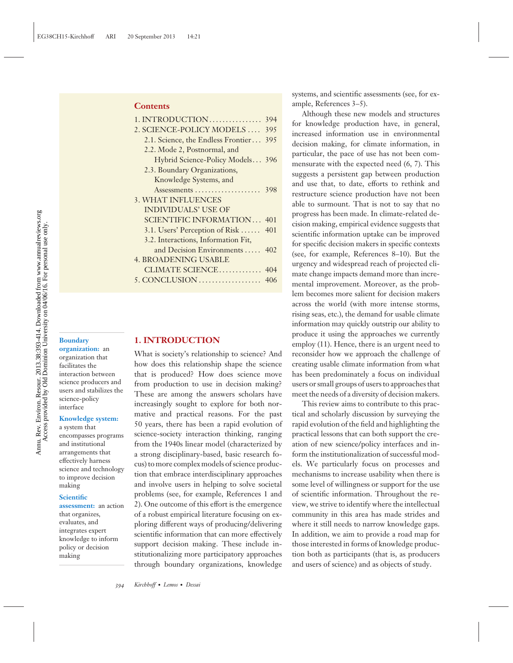#### **Contents**

| 1. INTRODUCTION                     | 394 |
|-------------------------------------|-----|
| 2. SCIENCE-POLICY MODELS            | 395 |
| 2.1. Science, the Endless Frontier  | 395 |
| 2.2. Mode 2, Postnormal, and        |     |
| Hybrid Science-Policy Models 396    |     |
| 2.3. Boundary Organizations,        |     |
| Knowledge Systems, and              |     |
| Assessments                         | 398 |
| <b>3. WHAT INFLUENCES</b>           |     |
| <b>INDIVIDUALS' USE OF</b>          |     |
| <b>SCIENTIFIC INFORMATION 401</b>   |     |
| 3.1. Users' Perception of Risk      | 401 |
| 3.2. Interactions, Information Fit, |     |
| and Decision Environments  402      |     |
| <b>4. BROADENING USABLE</b>         |     |
| CLIMATE SCIENCE 404                 |     |
|                                     | 406 |

#### **Boundary organization:** an organization that facilitates the

interaction between science producers and users and stabilizes the science-policy interface

#### **Knowledge system:**

a system that encompasses programs and institutional arrangements that effectively harness science and technology to improve decision making

#### **Scientific**

**assessment:** an action that organizes, evaluates, and integrates expert knowledge to inform policy or decision making

# **1. INTRODUCTION**

What is society's relationship to science? And how does this relationship shape the science that is produced? How does science move from production to use in decision making? These are among the answers scholars have increasingly sought to explore for both normative and practical reasons. For the past 50 years, there has been a rapid evolution of science-society interaction thinking, ranging from the 1940s linear model (characterized by a strong disciplinary-based, basic research focus) to more complex models of science production that embrace interdisciplinary approaches and involve users in helping to solve societal problems (see, for example, References 1 and 2). One outcome of this effort is the emergence of a robust empirical literature focusing on exploring different ways of producing/delivering scientific information that can more effectively support decision making. These include institutionalizing more participatory approaches through boundary organizations, knowledge

systems, and scientific assessments (see, for example, References 3–5).

Although these new models and structures for knowledge production have, in general, increased information use in environmental decision making, for climate information, in particular, the pace of use has not been commensurate with the expected need (6, 7). This suggests a persistent gap between production and use that, to date, efforts to rethink and restructure science production have not been able to surmount. That is not to say that no progress has been made. In climate-related decision making, empirical evidence suggests that scientific information uptake can be improved for specific decision makers in specific contexts (see, for example, References 8–10). But the urgency and widespread reach of projected climate change impacts demand more than incremental improvement. Moreover, as the problem becomes more salient for decision makers across the world (with more intense storms, rising seas, etc.), the demand for usable climate information may quickly outstrip our ability to produce it using the approaches we currently employ (11). Hence, there is an urgent need to reconsider how we approach the challenge of creating usable climate information from what has been predominately a focus on individual users or small groups of users to approaches that meet the needs of a diversity of decision makers.

This review aims to contribute to this practical and scholarly discussion by surveying the rapid evolution of the field and highlighting the practical lessons that can both support the creation of new science/policy interfaces and inform the institutionalization of successful models. We particularly focus on processes and mechanisms to increase usability when there is some level of willingness or support for the use of scientific information. Throughout the review, we strive to identify where the intellectual community in this area has made strides and where it still needs to narrow knowledge gaps. In addition, we aim to provide a road map for those interested in forms of knowledge production both as participants (that is, as producers and users of science) and as objects of study.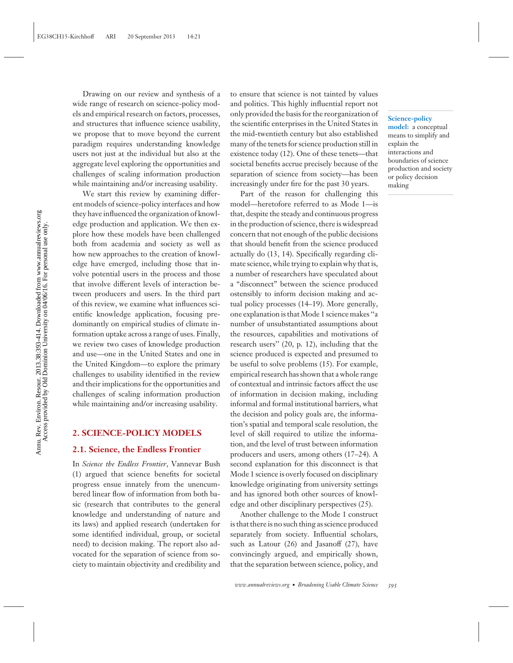Drawing on our review and synthesis of a wide range of research on science-policy models and empirical research on factors, processes, and structures that influence science usability, we propose that to move beyond the current paradigm requires understanding knowledge users not just at the individual but also at the aggregate level exploring the opportunities and challenges of scaling information production while maintaining and/or increasing usability.

We start this review by examining different models of science-policy interfaces and how they have influenced the organization of knowledge production and application. We then explore how these models have been challenged both from academia and society as well as how new approaches to the creation of knowledge have emerged, including those that involve potential users in the process and those that involve different levels of interaction between producers and users. In the third part of this review, we examine what influences scientific knowledge application, focusing predominantly on empirical studies of climate information uptake across a range of uses. Finally, we review two cases of knowledge production and use—one in the United States and one in the United Kingdom—to explore the primary challenges to usability identified in the review and their implications for the opportunities and challenges of scaling information production while maintaining and/or increasing usability.

#### **2. SCIENCE-POLICY MODELS**

#### **2.1. Science, the Endless Frontier**

In *Science the Endless Frontier*, Vannevar Bush (1) argued that science benefits for societal progress ensue innately from the unencumbered linear flow of information from both basic (research that contributes to the general knowledge and understanding of nature and its laws) and applied research (undertaken for some identified individual, group, or societal need) to decision making. The report also advocated for the separation of science from society to maintain objectivity and credibility and to ensure that science is not tainted by values and politics. This highly influential report not only provided the basis for the reorganization of the scientific enterprises in the United States in the mid-twentieth century but also established many of the tenets for science production still in existence today (12). One of these tenets—that societal benefits accrue precisely because of the separation of science from society—has been increasingly under fire for the past 30 years.

Part of the reason for challenging this model—heretofore referred to as Mode 1—is that, despite the steady and continuous progress in the production of science, there is widespread concern that not enough of the public decisions that should benefit from the science produced actually do (13, 14). Specifically regarding climate science, while trying to explain why that is, a number of researchers have speculated about a "disconnect" between the science produced ostensibly to inform decision making and actual policy processes (14–19). More generally, one explanation is that Mode 1 science makes ''a number of unsubstantiated assumptions about the resources, capabilities and motivations of research users'' (20, p. 12), including that the science produced is expected and presumed to be useful to solve problems (15). For example, empirical research has shown that a whole range of contextual and intrinsic factors affect the use of information in decision making, including informal and formal institutional barriers, what the decision and policy goals are, the information's spatial and temporal scale resolution, the level of skill required to utilize the information, and the level of trust between information producers and users, among others (17–24). A second explanation for this disconnect is that Mode 1 science is overly focused on disciplinary knowledge originating from university settings and has ignored both other sources of knowledge and other disciplinary perspectives (25).

Another challenge to the Mode 1 construct is that there is no such thing as science produced separately from society. Influential scholars, such as Latour (26) and Jasanoff (27), have convincingly argued, and empirically shown, that the separation between science, policy, and

**Science-policy model:** a conceptual means to simplify and explain the interactions and boundaries of science production and society or policy decision making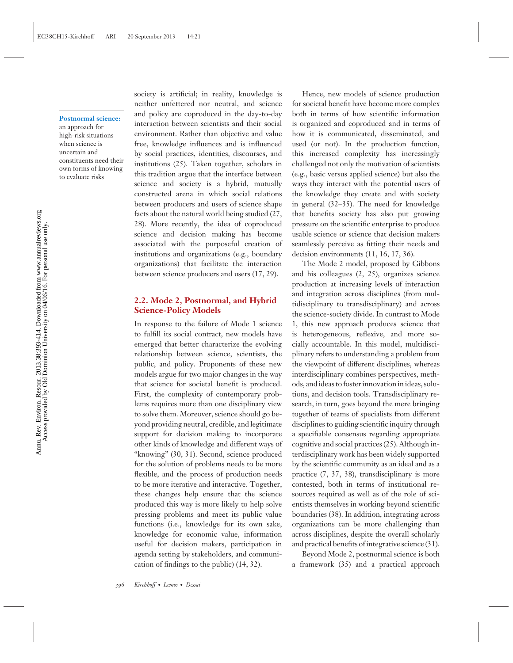**Postnormal science:** an approach for high-risk situations when science is uncertain and constituents need their own forms of knowing to evaluate risks

society is artificial; in reality, knowledge is neither unfettered nor neutral, and science and policy are coproduced in the day-to-day interaction between scientists and their social environment. Rather than objective and value free, knowledge influences and is influenced by social practices, identities, discourses, and institutions (25). Taken together, scholars in this tradition argue that the interface between science and society is a hybrid, mutually constructed arena in which social relations between producers and users of science shape facts about the natural world being studied (27, 28). More recently, the idea of coproduced science and decision making has become associated with the purposeful creation of institutions and organizations (e.g., boundary organizations) that facilitate the interaction between science producers and users (17, 29).

# **2.2. Mode 2, Postnormal, and Hybrid Science-Policy Models**

In response to the failure of Mode 1 science to fulfill its social contract, new models have emerged that better characterize the evolving relationship between science, scientists, the public, and policy. Proponents of these new models argue for two major changes in the way that science for societal benefit is produced. First, the complexity of contemporary problems requires more than one disciplinary view to solve them. Moreover, science should go beyond providing neutral, credible, and legitimate support for decision making to incorporate other kinds of knowledge and different ways of "knowing" (30, 31). Second, science produced for the solution of problems needs to be more flexible, and the process of production needs to be more iterative and interactive. Together, these changes help ensure that the science produced this way is more likely to help solve pressing problems and meet its public value functions (i.e., knowledge for its own sake, knowledge for economic value, information useful for decision makers, participation in agenda setting by stakeholders, and communication of findings to the public) (14, 32).

Hence, new models of science production for societal benefit have become more complex both in terms of how scientific information is organized and coproduced and in terms of how it is communicated, disseminated, and used (or not). In the production function, this increased complexity has increasingly challenged not only the motivation of scientists (e.g., basic versus applied science) but also the ways they interact with the potential users of the knowledge they create and with society in general (32–35). The need for knowledge that benefits society has also put growing pressure on the scientific enterprise to produce usable science or science that decision makers seamlessly perceive as fitting their needs and decision environments (11, 16, 17, 36).

The Mode 2 model, proposed by Gibbons and his colleagues (2, 25), organizes science production at increasing levels of interaction and integration across disciplines (from multidisciplinary to transdisciplinary) and across the science-society divide. In contrast to Mode 1, this new approach produces science that is heterogeneous, reflexive, and more socially accountable. In this model, multidisciplinary refers to understanding a problem from the viewpoint of different disciplines, whereas interdisciplinary combines perspectives, methods, and ideas to foster innovation in ideas, solutions, and decision tools. Transdisciplinary research, in turn, goes beyond the mere bringing together of teams of specialists from different disciplines to guiding scientific inquiry through a specifiable consensus regarding appropriate cognitive and social practices (25). Although interdisciplinary work has been widely supported by the scientific community as an ideal and as a practice (7, 37, 38), transdisciplinary is more contested, both in terms of institutional resources required as well as of the role of scientists themselves in working beyond scientific boundaries (38). In addition, integrating across organizations can be more challenging than across disciplines, despite the overall scholarly and practical benefits of integrative science (31).

Beyond Mode 2, postnormal science is both a framework (35) and a practical approach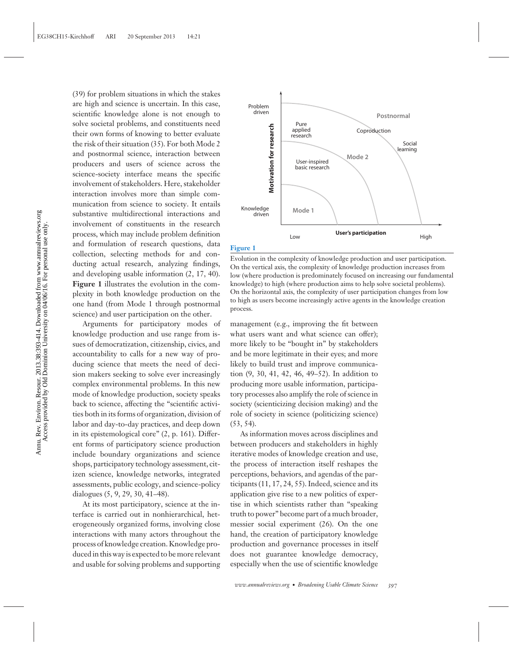(39) for problem situations in which the stakes are high and science is uncertain. In this case, scientific knowledge alone is not enough to solve societal problems, and constituents need their own forms of knowing to better evaluate the risk of their situation (35). For both Mode 2 and postnormal science, interaction between producers and users of science across the science-society interface means the specific involvement of stakeholders. Here, stakeholder interaction involves more than simple communication from science to society. It entails substantive multidirectional interactions and involvement of constituents in the research process, which may include problem definition and formulation of research questions, data collection, selecting methods for and conducting actual research, analyzing findings, and developing usable information (2, 17, 40). **Figure 1** illustrates the evolution in the complexity in both knowledge production on the one hand (from Mode 1 through postnormal science) and user participation on the other.

Arguments for participatory modes of knowledge production and use range from issues of democratization, citizenship, civics, and accountability to calls for a new way of producing science that meets the need of decision makers seeking to solve ever increasingly complex environmental problems. In this new mode of knowledge production, society speaks back to science, affecting the "scientific activities both in its forms of organization, division of labor and day-to-day practices, and deep down in its epistemological core" (2, p. 161). Different forms of participatory science production include boundary organizations and science shops, participatory technology assessment, citizen science, knowledge networks, integrated assessments, public ecology, and science-policy dialogues (5, 9, 29, 30, 41–48).

At its most participatory, science at the interface is carried out in nonhierarchical, heterogeneously organized forms, involving close interactions with many actors throughout the process of knowledge creation. Knowledge produced in this way is expected to be more relevant and usable for solving problems and supporting



#### **Figure 1**

Evolution in the complexity of knowledge production and user participation. On the vertical axis, the complexity of knowledge production increases from low (where production is predominately focused on increasing our fundamental knowledge) to high (where production aims to help solve societal problems). On the horizontal axis, the complexity of user participation changes from low to high as users become increasingly active agents in the knowledge creation process.

management (e.g., improving the fit between what users want and what science can offer); more likely to be "bought in" by stakeholders and be more legitimate in their eyes; and more likely to build trust and improve communication (9, 30, 41, 42, 46, 49–52). In addition to producing more usable information, participatory processes also amplify the role of science in society (scienticizing decision making) and the role of society in science (politicizing science) (53, 54).

As information moves across disciplines and between producers and stakeholders in highly iterative modes of knowledge creation and use, the process of interaction itself reshapes the perceptions, behaviors, and agendas of the participants (11, 17, 24, 55). Indeed, science and its application give rise to a new politics of expertise in which scientists rather than "speaking truth to power" become part of a much broader, messier social experiment (26). On the one hand, the creation of participatory knowledge production and governance processes in itself does not guarantee knowledge democracy, especially when the use of scientific knowledge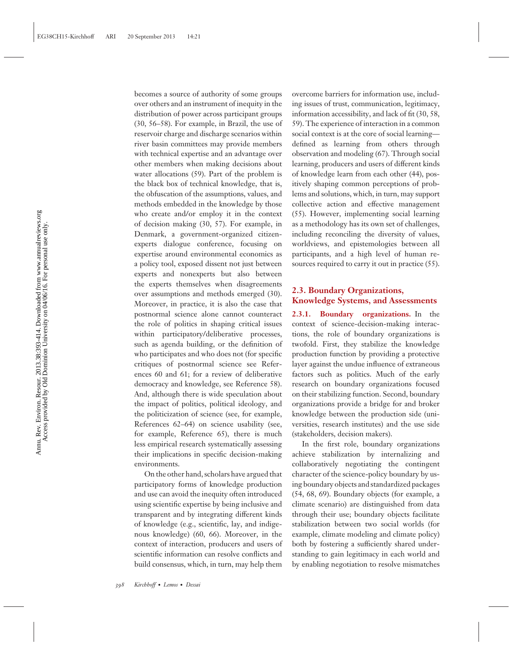becomes a source of authority of some groups over others and an instrument of inequity in the distribution of power across participant groups (30, 56–58). For example, in Brazil, the use of reservoir charge and discharge scenarios within river basin committees may provide members with technical expertise and an advantage over other members when making decisions about water allocations (59). Part of the problem is the black box of technical knowledge, that is, the obfuscation of the assumptions, values, and methods embedded in the knowledge by those who create and/or employ it in the context of decision making (30, 57). For example, in Denmark, a government-organized citizenexperts dialogue conference, focusing on expertise around environmental economics as a policy tool, exposed dissent not just between experts and nonexperts but also between the experts themselves when disagreements over assumptions and methods emerged (30). Moreover, in practice, it is also the case that postnormal science alone cannot counteract the role of politics in shaping critical issues within participatory/deliberative processes, such as agenda building, or the definition of who participates and who does not (for specific critiques of postnormal science see References 60 and 61; for a review of deliberative democracy and knowledge, see Reference 58). And, although there is wide speculation about the impact of politics, political ideology, and the politicization of science (see, for example, References 62–64) on science usability (see, for example, Reference 65), there is much less empirical research systematically assessing their implications in specific decision-making environments.

On the other hand, scholars have argued that participatory forms of knowledge production and use can avoid the inequity often introduced using scientific expertise by being inclusive and transparent and by integrating different kinds of knowledge (e.g., scientific, lay, and indigenous knowledge) (60, 66). Moreover, in the context of interaction, producers and users of scientific information can resolve conflicts and build consensus, which, in turn, may help them

overcome barriers for information use, including issues of trust, communication, legitimacy, information accessibility, and lack of fit (30, 58, 59). The experience of interaction in a common social context is at the core of social learning defined as learning from others through observation and modeling (67). Through social learning, producers and users of different kinds of knowledge learn from each other (44), positively shaping common perceptions of problems and solutions, which, in turn, may support collective action and effective management (55). However, implementing social learning as a methodology has its own set of challenges, including reconciling the diversity of values, worldviews, and epistemologies between all participants, and a high level of human resources required to carry it out in practice (55).

## **2.3. Boundary Organizations, Knowledge Systems, and Assessments**

**2.3.1. Boundary organizations.** In the context of science-decision-making interactions, the role of boundary organizations is twofold. First, they stabilize the knowledge production function by providing a protective layer against the undue influence of extraneous factors such as politics. Much of the early research on boundary organizations focused on their stabilizing function. Second, boundary organizations provide a bridge for and broker knowledge between the production side (universities, research institutes) and the use side (stakeholders, decision makers).

In the first role, boundary organizations achieve stabilization by internalizing and collaboratively negotiating the contingent character of the science-policy boundary by using boundary objects and standardized packages (54, 68, 69). Boundary objects (for example, a climate scenario) are distinguished from data through their use; boundary objects facilitate stabilization between two social worlds (for example, climate modeling and climate policy) both by fostering a sufficiently shared understanding to gain legitimacy in each world and by enabling negotiation to resolve mismatches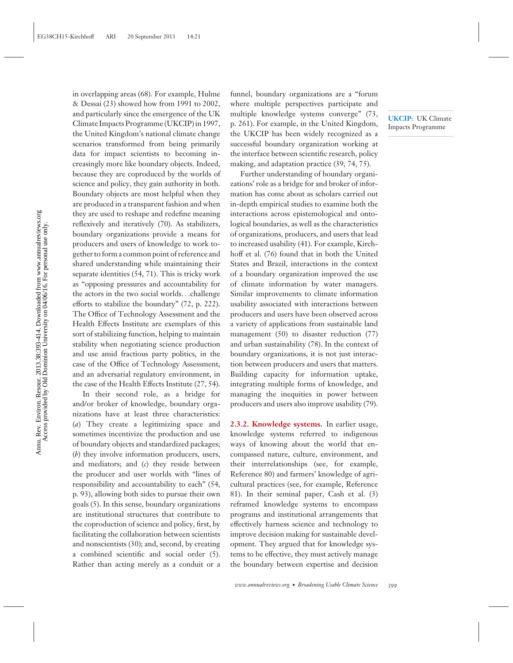in overlapping areas (68). For example, Hulme & Dessai (23) showed how from 1991 to 2002, and particularly since the emergence of the UK Climate Impacts Programme (UKCIP) in 1997, the United Kingdom's national climate change scenarios transformed from being primarily data for impact scientists to becoming increasingly more like boundary objects. Indeed, because they are coproduced by the worlds of science and policy, they gain authority in both. Boundary objects are most helpful when they are produced in a transparent fashion and when they are used to reshape and redefine meaning reflexively and iteratively (70). As stabilizers, boundary organizations provide a means for producers and users of knowledge to work together to form a common point of reference and shared understanding while maintaining their separate identities (54, 71). This is tricky work as "opposing pressures and accountability for the actors in the two social worlds...challenge efforts to stabilize the boundary" (72, p. 222). The Office of Technology Assessment and the Health Effects Institute are exemplars of this sort of stabilizing function, helping to maintain stability when negotiating science production and use amid fractious party politics, in the case of the Office of Technology Assessment, and an adversarial regulatory environment, in the case of the Health Effects Institute (27, 54).

In their second role, as a bridge for and/or broker of knowledge, boundary organizations have at least three characteristics: (*a*) They create a legitimizing space and sometimes incentivize the production and use of boundary objects and standardized packages; (*b*) they involve information producers, users, and mediators; and (*c*) they reside between the producer and user worlds with "lines of responsibility and accountability to each" (54, p. 93), allowing both sides to pursue their own goals (5). In this sense, boundary organizations are institutional structures that contribute to the coproduction of science and policy, first, by facilitating the collaboration between scientists and nonscientists (30); and, second, by creating a combined scientific and social order (5). Rather than acting merely as a conduit or a

funnel, boundary organizations are a "forum where multiple perspectives participate and multiple knowledge systems converge" (73, p. 261). For example, in the United Kingdom, the UKCIP has been widely recognized as a successful boundary organization working at the interface between scientific research, policy making, and adaptation practice (39, 74, 75).

Further understanding of boundary organizations' role as a bridge for and broker of information has come about as scholars carried out in-depth empirical studies to examine both the interactions across epistemological and ontological boundaries, as well as the characteristics of organizations, producers, and users that lead to increased usability (41). For example, Kirchhoff et al. (76) found that in both the United States and Brazil, interactions in the context of a boundary organization improved the use of climate information by water managers. Similar improvements to climate information usability associated with interactions between producers and users have been observed across a variety of applications from sustainable land management (50) to disaster reduction (77) and urban sustainability (78). In the context of boundary organizations, it is not just interaction between producers and users that matters. Building capacity for information uptake, integrating multiple forms of knowledge, and managing the inequities in power between producers and users also improve usability (79).

**2.3.2. Knowledge systems.** In earlier usage, knowledge systems referred to indigenous ways of knowing about the world that encompassed nature, culture, environment, and their interrelationships (see, for example, Reference 80) and farmers' knowledge of agricultural practices (see, for example, Reference 81). In their seminal paper, Cash et al. (3) reframed knowledge systems to encompass programs and institutional arrangements that effectively harness science and technology to improve decision making for sustainable development. They argued that for knowledge systems to be effective, they must actively manage the boundary between expertise and decision

**UKCIP:** UK Climate Impacts Programme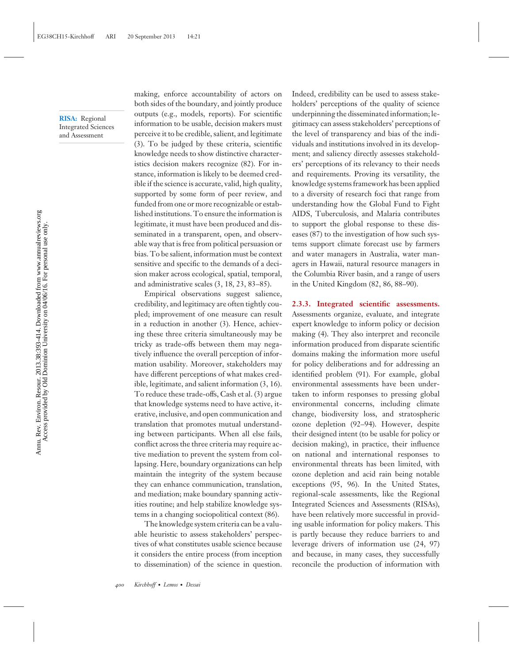**RISA:** Regional Integrated Sciences and Assessment

making, enforce accountability of actors on both sides of the boundary, and jointly produce outputs (e.g., models, reports). For scientific information to be usable, decision makers must perceive it to be credible, salient, and legitimate (3). To be judged by these criteria, scientific knowledge needs to show distinctive characteristics decision makers recognize (82). For instance, information is likely to be deemed credible if the science is accurate, valid, high quality, supported by some form of peer review, and funded from one or more recognizable or established institutions. To ensure the information is legitimate, it must have been produced and disseminated in a transparent, open, and observable way that is free from political persuasion or bias. To be salient, information must be context sensitive and specific to the demands of a decision maker across ecological, spatial, temporal, and administrative scales (3, 18, 23, 83–85).

Empirical observations suggest salience, credibility, and legitimacy are often tightly coupled; improvement of one measure can result in a reduction in another (3). Hence, achieving these three criteria simultaneously may be tricky as trade-offs between them may negatively influence the overall perception of information usability. Moreover, stakeholders may have different perceptions of what makes credible, legitimate, and salient information (3, 16). To reduce these trade-offs, Cash et al. (3) argue that knowledge systems need to have active, iterative, inclusive, and open communication and translation that promotes mutual understanding between participants. When all else fails, conflict across the three criteria may require active mediation to prevent the system from collapsing. Here, boundary organizations can help maintain the integrity of the system because they can enhance communication, translation, and mediation; make boundary spanning activities routine; and help stabilize knowledge systems in a changing sociopolitical context (86).

The knowledge system criteria can be a valuable heuristic to assess stakeholders' perspectives of what constitutes usable science because it considers the entire process (from inception to dissemination) of the science in question.

Indeed, credibility can be used to assess stakeholders' perceptions of the quality of science underpinning the disseminated information; legitimacy can assess stakeholders' perceptions of the level of transparency and bias of the individuals and institutions involved in its development; and saliency directly assesses stakeholders' perceptions of its relevancy to their needs and requirements. Proving its versatility, the knowledge systems framework has been applied to a diversity of research foci that range from understanding how the Global Fund to Fight AIDS, Tuberculosis, and Malaria contributes to support the global response to these diseases (87) to the investigation of how such systems support climate forecast use by farmers and water managers in Australia, water managers in Hawaii, natural resource managers in the Columbia River basin, and a range of users in the United Kingdom (82, 86, 88–90).

**2.3.3. Integrated scientific assessments.** Assessments organize, evaluate, and integrate expert knowledge to inform policy or decision making (4). They also interpret and reconcile information produced from disparate scientific domains making the information more useful for policy deliberations and for addressing an identified problem (91). For example, global environmental assessments have been undertaken to inform responses to pressing global environmental concerns, including climate change, biodiversity loss, and stratospheric ozone depletion (92–94). However, despite their designed intent (to be usable for policy or decision making), in practice, their influence on national and international responses to environmental threats has been limited, with ozone depletion and acid rain being notable exceptions (95, 96). In the United States, regional-scale assessments, like the Regional Integrated Sciences and Assessments (RISAs), have been relatively more successful in providing usable information for policy makers. This is partly because they reduce barriers to and leverage drivers of information use (24, 97) and because, in many cases, they successfully reconcile the production of information with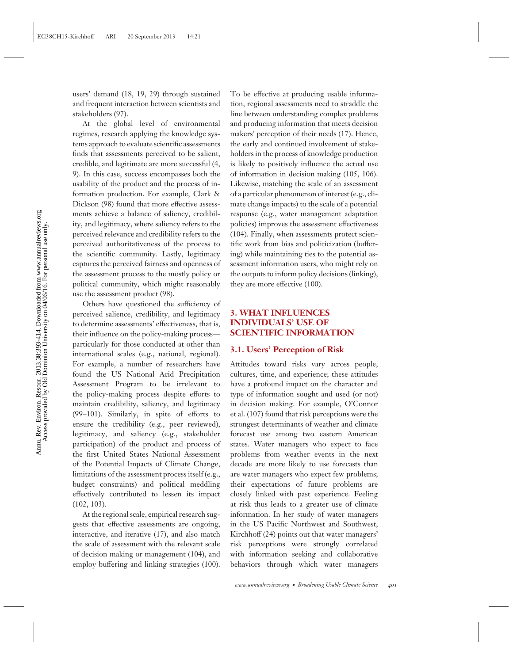users' demand (18, 19, 29) through sustained and frequent interaction between scientists and stakeholders (97).

At the global level of environmental regimes, research applying the knowledge systems approach to evaluate scientific assessments finds that assessments perceived to be salient, credible, and legitimate are more successful (4, 9). In this case, success encompasses both the usability of the product and the process of information production. For example, Clark & Dickson (98) found that more effective assessments achieve a balance of saliency, credibility, and legitimacy, where saliency refers to the perceived relevance and credibility refers to the perceived authoritativeness of the process to the scientific community. Lastly, legitimacy captures the perceived fairness and openness of the assessment process to the mostly policy or political community, which might reasonably use the assessment product (98).

Others have questioned the sufficiency of perceived salience, credibility, and legitimacy to determine assessments' effectiveness, that is, their influence on the policy-making process particularly for those conducted at other than international scales (e.g., national, regional). For example, a number of researchers have found the US National Acid Precipitation Assessment Program to be irrelevant to the policy-making process despite efforts to maintain credibility, saliency, and legitimacy (99–101). Similarly, in spite of efforts to ensure the credibility (e.g., peer reviewed), legitimacy, and saliency (e.g., stakeholder participation) of the product and process of the first United States National Assessment of the Potential Impacts of Climate Change, limitations of the assessment process itself (e.g., budget constraints) and political meddling effectively contributed to lessen its impact (102, 103).

At the regional scale, empirical research suggests that effective assessments are ongoing, interactive, and iterative (17), and also match the scale of assessment with the relevant scale of decision making or management (104), and employ buffering and linking strategies (100).

To be effective at producing usable information, regional assessments need to straddle the line between understanding complex problems and producing information that meets decision makers' perception of their needs (17). Hence, the early and continued involvement of stakeholders in the process of knowledge production is likely to positively influence the actual use of information in decision making (105, 106). Likewise, matching the scale of an assessment of a particular phenomenon of interest (e.g., climate change impacts) to the scale of a potential response (e.g., water management adaptation policies) improves the assessment effectiveness (104). Finally, when assessments protect scientific work from bias and politicization (buffering) while maintaining ties to the potential assessment information users, who might rely on the outputs to inform policy decisions (linking), they are more effective (100).

# **3. WHAT INFLUENCES INDIVIDUALS' USE OF SCIENTIFIC INFORMATION**

## **3.1. Users' Perception of Risk**

Attitudes toward risks vary across people, cultures, time, and experience; these attitudes have a profound impact on the character and type of information sought and used (or not) in decision making. For example, O'Connor et al. (107) found that risk perceptions were the strongest determinants of weather and climate forecast use among two eastern American states. Water managers who expect to face problems from weather events in the next decade are more likely to use forecasts than are water managers who expect few problems; their expectations of future problems are closely linked with past experience. Feeling at risk thus leads to a greater use of climate information. In her study of water managers in the US Pacific Northwest and Southwest, Kirchhoff (24) points out that water managers' risk perceptions were strongly correlated with information seeking and collaborative behaviors through which water managers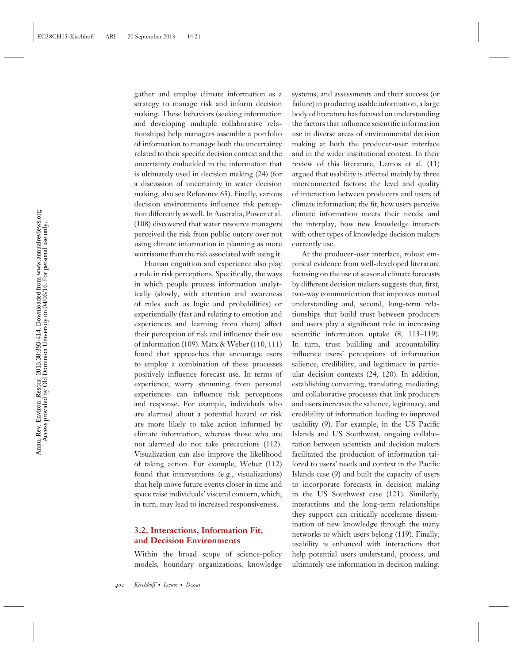gather and employ climate information as a strategy to manage risk and inform decision making. These behaviors (seeking information and developing multiple collaborative relationships) help managers assemble a portfolio of information to manage both the uncertainty related to their specific decision context and the uncertainty embedded in the information that is ultimately used in decision making (24) (for a discussion of uncertainty in water decision making, also see Reference 65). Finally, various decision environments influence risk perception differently as well. In Australia, Power et al. (108) discovered that water resource managers perceived the risk from public outcry over not using climate information in planning as more worrisome than the risk associated with using it.

Human cognition and experience also play a role in risk perceptions. Specifically, the ways in which people process information analytically (slowly, with attention and awareness of rules such as logic and probabilities) or experientially (fast and relating to emotion and experiences and learning from them) affect their perception of risk and influence their use of information (109). Marx & Weber (110, 111) found that approaches that encourage users to employ a combination of these processes positively influence forecast use. In terms of experience, worry stemming from personal experiences can influence risk perceptions and response. For example, individuals who are alarmed about a potential hazard or risk are more likely to take action informed by climate information, whereas those who are not alarmed do not take precautions (112). Visualization can also improve the likelihood of taking action. For example, Weber (112) found that interventions (e.g., visualizations) that help move future events closer in time and space raise individuals' visceral concern, which, in turn, may lead to increased responsiveness.

## **3.2. Interactions, Information Fit, and Decision Environments**

Within the broad scope of science-policy models, boundary organizations, knowledge systems, and assessments and their success (or failure) in producing usable information, a large body of literature has focused on understanding the factors that influence scientific information use in diverse areas of environmental decision making at both the producer-user interface and in the wider institutional context. In their review of this literature, Lemos et al. (11) argued that usability is affected mainly by three interconnected factors: the level and quality of interaction between producers and users of climate information; the fit, how users perceive climate information meets their needs; and the interplay, how new knowledge interacts with other types of knowledge decision makers currently use.

At the producer-user interface, robust empirical evidence from well-developed literature focusing on the use of seasonal climate forecasts by different decision makers suggests that, first, two-way communication that improves mutual understanding and, second, long-term relationships that build trust between producers and users play a significant role in increasing scientific information uptake (8, 113–119). In turn, trust building and accountability influence users' perceptions of information salience, credibility, and legitimacy in particular decision contexts (24, 120). In addition, establishing convening, translating, mediating, and collaborative processes that link producers and users increases the salience, legitimacy, and credibility of information leading to improved usability (9). For example, in the US Pacific Islands and US Southwest, ongoing collaboration between scientists and decision makers facilitated the production of information tailored to users' needs and context in the Pacific Islands case (9) and built the capacity of users to incorporate forecasts in decision making in the US Southwest case (121). Similarly, interactions and the long-term relationships they support can critically accelerate dissemination of new knowledge through the many networks to which users belong (119). Finally, usability is enhanced with interactions that help potential users understand, process, and ultimately use information in decision making.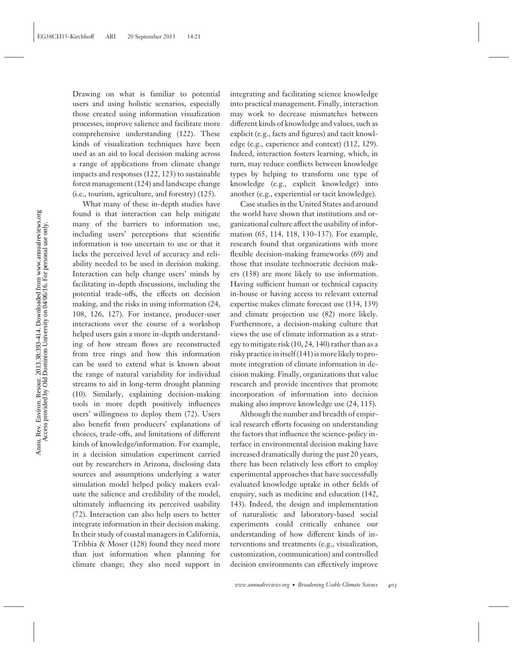Drawing on what is familiar to potential users and using holistic scenarios, especially those created using information visualization processes, improve salience and facilitate more comprehensive understanding (122). These kinds of visualization techniques have been used as an aid to local decision making across a range of applications from climate change impacts and responses (122, 123) to sustainable forest management (124) and landscape change (i.e., tourism, agriculture, and forestry) (125).

What many of these in-depth studies have found is that interaction can help mitigate many of the barriers to information use, including users' perceptions that scientific information is too uncertain to use or that it lacks the perceived level of accuracy and reliability needed to be used in decision making. Interaction can help change users' minds by facilitating in-depth discussions, including the potential trade-offs, the effects on decision making, and the risks in using information (24, 108, 126, 127). For instance, producer-user interactions over the course of a workshop helped users gain a more in-depth understanding of how stream flows are reconstructed from tree rings and how this information can be used to extend what is known about the range of natural variability for individual streams to aid in long-term drought planning (10). Similarly, explaining decision-making tools in more depth positively influences users' willingness to deploy them (72). Users also benefit from producers' explanations of choices, trade-offs, and limitations of different kinds of knowledge/information. For example, in a decision simulation experiment carried out by researchers in Arizona, disclosing data sources and assumptions underlying a water simulation model helped policy makers evaluate the salience and credibility of the model, ultimately influencing its perceived usability (72). Interaction can also help users to better integrate information in their decision making. In their study of coastal managers in California, Tribbia & Moser (128) found they need more than just information when planning for climate change; they also need support in integrating and facilitating science knowledge into practical management. Finally, interaction may work to decrease mismatches between different kinds of knowledge and values, such as explicit (e.g., facts and figures) and tacit knowledge (e.g., experience and context) (112, 129). Indeed, interaction fosters learning, which, in turn, may reduce conflicts between knowledge types by helping to transform one type of knowledge (e.g., explicit knowledge) into another (e.g., experiential or tacit knowledge).

Case studies in the United States and around the world have shown that institutions and organizational culture affect the usability of information (65, 114, 118, 130–137). For example, research found that organizations with more flexible decision-making frameworks (69) and those that insulate technocratic decision makers (138) are more likely to use information. Having sufficient human or technical capacity in-house or having access to relevant external expertise makes climate forecast use (134, 139) and climate projection use (82) more likely. Furthermore, a decision-making culture that views the use of climate information as a strategy to mitigate risk (10, 24, 140) rather than as a risky practice in itself (141) is more likely to promote integration of climate information in decision making. Finally, organizations that value research and provide incentives that promote incorporation of information into decision making also improve knowledge use (24, 115).

Although the number and breadth of empirical research efforts focusing on understanding the factors that influence the science-policy interface in environmental decision making have increased dramatically during the past 20 years, there has been relatively less effort to employ experimental approaches that have successfully evaluated knowledge uptake in other fields of enquiry, such as medicine and education (142, 143). Indeed, the design and implementation of naturalistic and laboratory-based social experiments could critically enhance our understanding of how different kinds of interventions and treatments (e.g., visualization, customization, communication) and controlled decision environments can effectively improve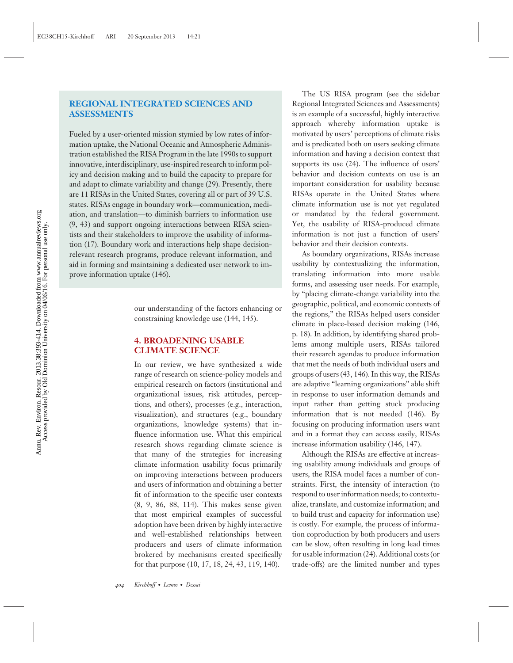# **REGIONAL INTEGRATED SCIENCES AND ASSESSMENTS**

Fueled by a user-oriented mission stymied by low rates of information uptake, the National Oceanic and Atmospheric Administration established the RISA Program in the late 1990s to support innovative, interdisciplinary, use-inspired research to inform policy and decision making and to build the capacity to prepare for and adapt to climate variability and change (29). Presently, there are 11 RISAs in the United States, covering all or part of 39 U.S. states. RISAs engage in boundary work—communication, mediation, and translation—to diminish barriers to information use (9, 43) and support ongoing interactions between RISA scientists and their stakeholders to improve the usability of information (17). Boundary work and interactions help shape decisionrelevant research programs, produce relevant information, and aid in forming and maintaining a dedicated user network to improve information uptake (146).

> our understanding of the factors enhancing or constraining knowledge use (144, 145).

## **4. BROADENING USABLE CLIMATE SCIENCE**

In our review, we have synthesized a wide range of research on science-policy models and empirical research on factors (institutional and organizational issues, risk attitudes, perceptions, and others), processes (e.g., interaction, visualization), and structures (e.g., boundary organizations, knowledge systems) that influence information use. What this empirical research shows regarding climate science is that many of the strategies for increasing climate information usability focus primarily on improving interactions between producers and users of information and obtaining a better fit of information to the specific user contexts (8, 9, 86, 88, 114). This makes sense given that most empirical examples of successful adoption have been driven by highly interactive and well-established relationships between producers and users of climate information brokered by mechanisms created specifically for that purpose (10, 17, 18, 24, 43, 119, 140).

The US RISA program (see the sidebar Regional Integrated Sciences and Assessments) is an example of a successful, highly interactive approach whereby information uptake is motivated by users' perceptions of climate risks and is predicated both on users seeking climate information and having a decision context that supports its use (24). The influence of users' behavior and decision contexts on use is an important consideration for usability because RISAs operate in the United States where climate information use is not yet regulated or mandated by the federal government. Yet, the usability of RISA-produced climate information is not just a function of users' behavior and their decision contexts.

As boundary organizations, RISAs increase usability by contextualizing the information, translating information into more usable forms, and assessing user needs. For example, by "placing climate-change variability into the geographic, political, and economic contexts of the regions," the RISAs helped users consider climate in place-based decision making (146, p. 18). In addition, by identifying shared problems among multiple users, RISAs tailored their research agendas to produce information that met the needs of both individual users and groups of users (43, 146). In this way, the RISAs are adaptive "learning organizations" able shift in response to user information demands and input rather than getting stuck producing information that is not needed (146). By focusing on producing information users want and in a format they can access easily, RISAs increase information usability (146, 147).

Although the RISAs are effective at increasing usability among individuals and groups of users, the RISA model faces a number of constraints. First, the intensity of interaction (to respond to user information needs; to contextualize, translate, and customize information; and to build trust and capacity for information use) is costly. For example, the process of information coproduction by both producers and users can be slow, often resulting in long lead times for usable information (24). Additional costs (or trade-offs) are the limited number and types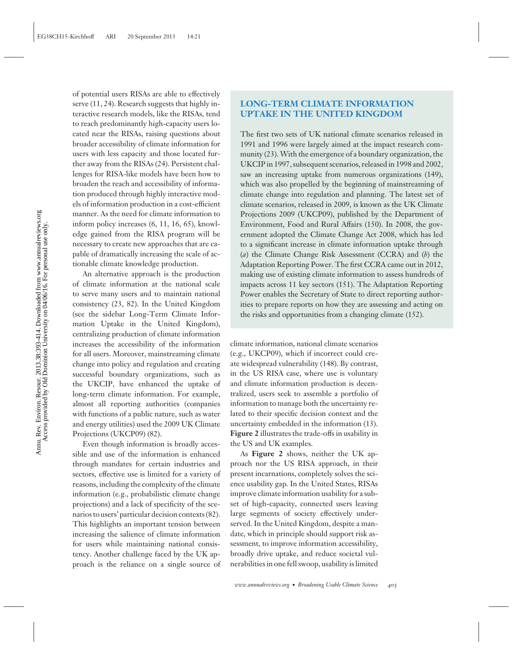of potential users RISAs are able to effectively serve (11, 24). Research suggests that highly interactive research models, like the RISAs, tend to reach predominantly high-capacity users located near the RISAs, raising questions about broader accessibility of climate information for users with less capacity and those located further away from the RISAs (24). Persistent challenges for RISA-like models have been how to broaden the reach and accessibility of information produced through highly interactive models of information production in a cost-efficient manner. As the need for climate information to inform policy increases (6, 11, 16, 65), knowledge gained from the RISA program will be necessary to create new approaches that are capable of dramatically increasing the scale of actionable climate knowledge production.

An alternative approach is the production of climate information at the national scale to serve many users and to maintain national consistency (23, 82). In the United Kingdom (see the sidebar Long-Term Climate Information Uptake in the United Kingdom), centralizing production of climate information increases the accessibility of the information for all users. Moreover, mainstreaming climate change into policy and regulation and creating successful boundary organizations, such as the UKCIP, have enhanced the uptake of long-term climate information. For example, almost all reporting authorities (companies with functions of a public nature, such as water and energy utilities) used the 2009 UK Climate Projections (UKCP09) (82).

Even though information is broadly accessible and use of the information is enhanced through mandates for certain industries and sectors, effective use is limited for a variety of reasons, including the complexity of the climate information (e.g., probabilistic climate change projections) and a lack of specificity of the scenarios to users' particular decision contexts (82). This highlights an important tension between increasing the salience of climate information for users while maintaining national consistency. Another challenge faced by the UK approach is the reliance on a single source of

# **LONG-TERM CLIMATE INFORMATION UPTAKE IN THE UNITED KINGDOM**

The first two sets of UK national climate scenarios released in 1991 and 1996 were largely aimed at the impact research community (23). With the emergence of a boundary organization, the UKCIP in 1997, subsequent scenarios, released in 1998 and 2002, saw an increasing uptake from numerous organizations (149), which was also propelled by the beginning of mainstreaming of climate change into regulation and planning. The latest set of climate scenarios, released in 2009, is known as the UK Climate Projections 2009 (UKCP09), published by the Department of Environment, Food and Rural Affairs (150). In 2008, the government adopted the Climate Change Act 2008, which has led to a significant increase in climate information uptake through (*a*) the Climate Change Risk Assessment (CCRA) and (*b*) the Adaptation Reporting Power. The first CCRA came out in 2012, making use of existing climate information to assess hundreds of impacts across 11 key sectors (151). The Adaptation Reporting Power enables the Secretary of State to direct reporting authorities to prepare reports on how they are assessing and acting on the risks and opportunities from a changing climate (152).

climate information, national climate scenarios (e.g., UKCP09), which if incorrect could create widespread vulnerability (148). By contrast, in the US RISA case, where use is voluntary and climate information production is decentralized, users seek to assemble a portfolio of information to manage both the uncertainty related to their specific decision context and the uncertainty embedded in the information (13). **Figure 2** illustrates the trade-offs in usability in the US and UK examples.

As **Figure 2** shows, neither the UK approach nor the US RISA approach, in their present incarnations, completely solves the science usability gap. In the United States, RISAs improve climate information usability for a subset of high-capacity, connected users leaving large segments of society effectively underserved. In the United Kingdom, despite a mandate, which in principle should support risk assessment, to improve information accessibility, broadly drive uptake, and reduce societal vulnerabilities in one fell swoop, usability is limited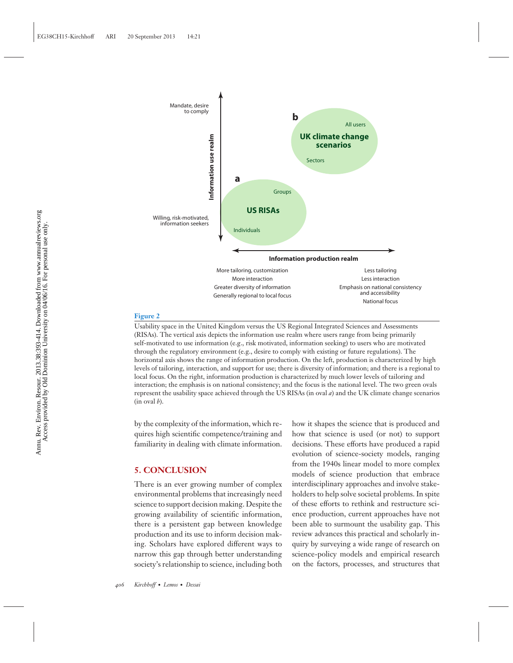

#### **Figure 2**

Usability space in the United Kingdom versus the US Regional Integrated Sciences and Assessments (RISAs). The vertical axis depicts the information use realm where users range from being primarily self-motivated to use information (e.g., risk motivated, information seeking) to users who are motivated through the regulatory environment (e.g., desire to comply with existing or future regulations). The horizontal axis shows the range of information production. On the left, production is characterized by high levels of tailoring, interaction, and support for use; there is diversity of information; and there is a regional to local focus. On the right, information production is characterized by much lower levels of tailoring and interaction; the emphasis is on national consistency; and the focus is the national level. The two green ovals represent the usability space achieved through the US RISAs (in oval *a*) and the UK climate change scenarios  $(in \text{ oval } b).$ 

by the complexity of the information, which requires high scientific competence/training and familiarity in dealing with climate information.

### **5. CONCLUSION**

There is an ever growing number of complex environmental problems that increasingly need science to support decision making. Despite the growing availability of scientific information, there is a persistent gap between knowledge production and its use to inform decision making. Scholars have explored different ways to narrow this gap through better understanding society's relationship to science, including both

how it shapes the science that is produced and how that science is used (or not) to support decisions. These efforts have produced a rapid evolution of science-society models, ranging from the 1940s linear model to more complex models of science production that embrace interdisciplinary approaches and involve stakeholders to help solve societal problems. In spite of these efforts to rethink and restructure science production, current approaches have not been able to surmount the usability gap. This review advances this practical and scholarly inquiry by surveying a wide range of research on science-policy models and empirical research on the factors, processes, and structures that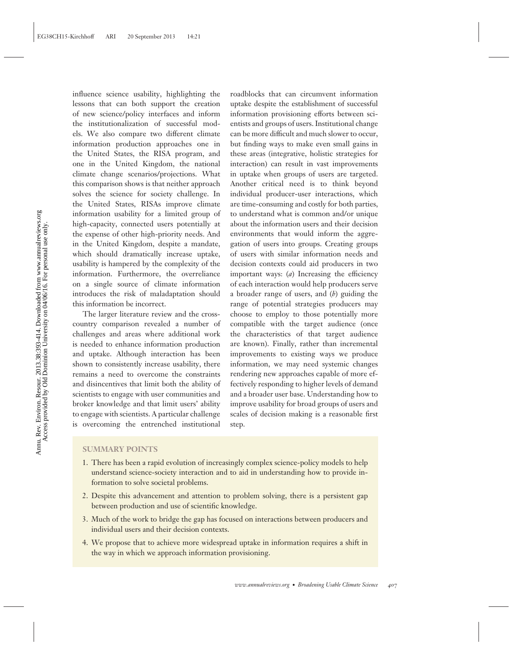influence science usability, highlighting the lessons that can both support the creation of new science/policy interfaces and inform the institutionalization of successful models. We also compare two different climate information production approaches one in the United States, the RISA program, and one in the United Kingdom, the national climate change scenarios/projections. What this comparison shows is that neither approach solves the science for society challenge. In the United States, RISAs improve climate information usability for a limited group of high-capacity, connected users potentially at the expense of other high-priority needs. And in the United Kingdom, despite a mandate, which should dramatically increase uptake, usability is hampered by the complexity of the information. Furthermore, the overreliance on a single source of climate information introduces the risk of maladaptation should this information be incorrect.

The larger literature review and the crosscountry comparison revealed a number of challenges and areas where additional work is needed to enhance information production and uptake. Although interaction has been shown to consistently increase usability, there remains a need to overcome the constraints and disincentives that limit both the ability of scientists to engage with user communities and broker knowledge and that limit users' ability to engage with scientists. A particular challenge is overcoming the entrenched institutional

roadblocks that can circumvent information uptake despite the establishment of successful information provisioning efforts between scientists and groups of users. Institutional change can be more difficult and much slower to occur, but finding ways to make even small gains in these areas (integrative, holistic strategies for interaction) can result in vast improvements in uptake when groups of users are targeted. Another critical need is to think beyond individual producer-user interactions, which are time-consuming and costly for both parties, to understand what is common and/or unique about the information users and their decision environments that would inform the aggregation of users into groups. Creating groups of users with similar information needs and decision contexts could aid producers in two important ways: (*a*) Increasing the efficiency of each interaction would help producers serve a broader range of users, and (*b*) guiding the range of potential strategies producers may choose to employ to those potentially more compatible with the target audience (once the characteristics of that target audience are known). Finally, rather than incremental improvements to existing ways we produce information, we may need systemic changes rendering new approaches capable of more effectively responding to higher levels of demand and a broader user base. Understanding how to improve usability for broad groups of users and scales of decision making is a reasonable first step.

#### **SUMMARY POINTS**

- 1. There has been a rapid evolution of increasingly complex science-policy models to help understand science-society interaction and to aid in understanding how to provide information to solve societal problems.
- 2. Despite this advancement and attention to problem solving, there is a persistent gap between production and use of scientific knowledge.
- 3. Much of the work to bridge the gap has focused on interactions between producers and individual users and their decision contexts.
- 4. We propose that to achieve more widespread uptake in information requires a shift in the way in which we approach information provisioning.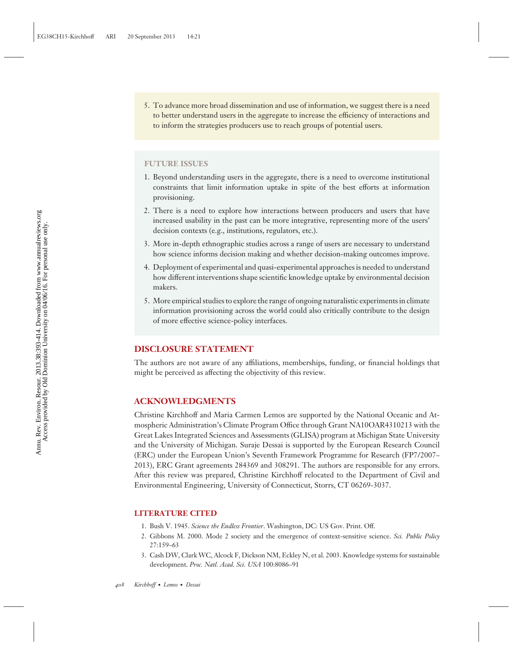5. To advance more broad dissemination and use of information, we suggest there is a need to better understand users in the aggregate to increase the efficiency of interactions and to inform the strategies producers use to reach groups of potential users.

#### **FUTURE ISSUES**

- 1. Beyond understanding users in the aggregate, there is a need to overcome institutional constraints that limit information uptake in spite of the best efforts at information provisioning.
- 2. There is a need to explore how interactions between producers and users that have increased usability in the past can be more integrative, representing more of the users' decision contexts (e.g., institutions, regulators, etc.).
- 3. More in-depth ethnographic studies across a range of users are necessary to understand how science informs decision making and whether decision-making outcomes improve.
- 4. Deployment of experimental and quasi-experimental approaches is needed to understand how different interventions shape scientific knowledge uptake by environmental decision makers.
- 5. More empirical studies to explore the range of ongoing naturalistic experiments in climate information provisioning across the world could also critically contribute to the design of more effective science-policy interfaces.

# **DISCLOSURE STATEMENT**

The authors are not aware of any affiliations, memberships, funding, or financial holdings that might be perceived as affecting the objectivity of this review.

## **ACKNOWLEDGMENTS**

Christine Kirchhoff and Maria Carmen Lemos are supported by the National Oceanic and Atmospheric Administration's Climate Program Office through Grant NA10OAR4310213 with the Great Lakes Integrated Sciences and Assessments (GLISA) program at Michigan State University and the University of Michigan. Suraje Dessai is supported by the European Research Council (ERC) under the European Union's Seventh Framework Programme for Research (FP7/2007– 2013), ERC Grant agreements 284369 and 308291. The authors are responsible for any errors. After this review was prepared, Christine Kirchhoff relocated to the Department of Civil and Environmental Engineering, University of Connecticut, Storrs, CT 06269-3037.

#### **LITERATURE CITED**

- 1. Bush V. 1945. *Science the Endless Frontier*. Washington, DC: US Gov. Print. Off.
- 2. Gibbons M. 2000. Mode 2 society and the emergence of context-sensitive science. *Sci. Public Policy* 27:159–63
- 3. Cash DW, Clark WC, Alcock F, Dickson NM, Eckley N, et al. 2003. Knowledge systems for sustainable development. *Proc. Natl. Acad. Sci. USA* 100:8086–91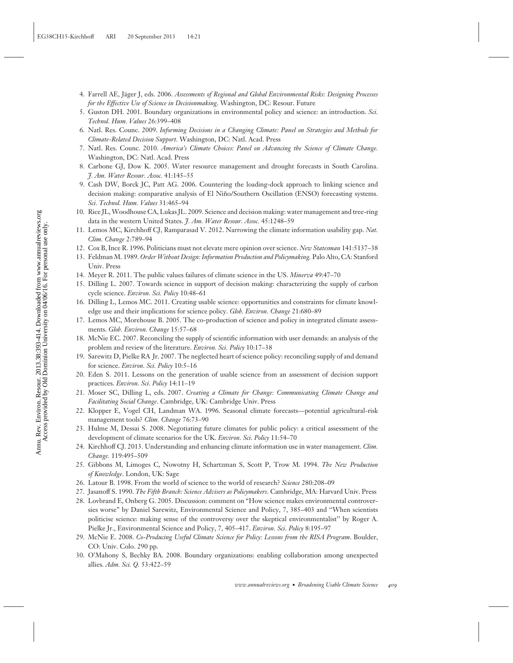- 4. Farrell AE, Jäger J, eds. 2006. Assessments of Regional and Global Environmental Risks: Designing Processes *for the Effective Use of Science in Decisionmaking*. Washington, DC: Resour. Future
- 5. Guston DH. 2001. Boundary organizations in environmental policy and science: an introduction. *Sci. Technol. Hum. Values* 26:399–408
- 6. Natl. Res. Counc. 2009. *Informing Decisions in a Changing Climate: Panel on Strategies and Methods for Climate-Related Decision Support.* Washington, DC: Natl. Acad. Press
- 7. Natl. Res. Counc. 2010. *America's Climate Choices: Panel on Advancing the Science of Climate Change.* Washington, DC: Natl. Acad. Press
- 8. Carbone GJ, Dow K. 2005. Water resource management and drought forecasts in South Carolina. *J. Am. Water Resour. Assoc.* 41:145–55
- 9. Cash DW, Borck JC, Patt AG. 2006. Countering the loading-dock approach to linking science and decision making: comparative analysis of El Niño/Southern Oscillation (ENSO) forecasting systems. *Sci. Technol. Hum. Values* 31:465–94
- 10. Rice JL, Woodhouse CA, Lukas JL. 2009. Science and decision making: water management and tree-ring data in the western United States. *J. Am. Water Resour. Assoc.* 45:1248–59
- 11. Lemos MC, Kirchhoff CJ, Ramparasad V. 2012. Narrowing the climate information usability gap. *Nat. Clim. Change* 2:789–94
- 12. Cox B, Ince R. 1996. Politicians must not elevate mere opinion over science. *New Statesman* 141:5137–38
- 13. Feldman M. 1989. *Order Without Design: Information Production and Policymaking.* Palo Alto, CA: Stanford Univ. Press
- 14. Meyer R. 2011. The public values failures of climate science in the US. *Minerva* 49:47–70
- 15. Dilling L. 2007. Towards science in support of decision making: characterizing the supply of carbon cycle science. *Environ. Sci. Policy* 10:48–61
- 16. Dilling L, Lemos MC. 2011. Creating usable science: opportunities and constraints for climate knowledge use and their implications for science policy. *Glob. Environ. Change* 21:680–89
- 17. Lemos MC, Morehouse B. 2005. The co-production of science and policy in integrated climate assessments. *Glob. Environ. Change* 15:57–68
- 18. McNie EC. 2007. Reconciling the supply of scientific information with user demands: an analysis of the problem and review of the literature. *Environ. Sci. Policy* 10:17–38
- 19. Sarewitz D, Pielke RA Jr. 2007. The neglected heart of science policy: reconciling supply of and demand for science. *Environ. Sci. Policy* 10:5–16
- 20. Eden S. 2011. Lessons on the generation of usable science from an assessment of decision support practices. *Environ. Sci. Policy* 14:11–19
- 21. Moser SC, Dilling L, eds. 2007. *Creating a Climate for Change: Communicating Climate Change and Facilitating Social Change*. Cambridge, UK: Cambridge Univ. Press
- 22. Klopper E, Vogel CH, Landman WA. 1996. Seasonal climate forecasts—potential agricultural-risk management tools? *Clim. Change* 76:73–90
- 23. Hulme M, Dessai S. 2008. Negotiating future climates for public policy: a critical assessment of the development of climate scenarios for the UK. *Environ. Sci. Policy* 11:54–70
- 24. Kirchhoff CJ. 2013. Understanding and enhancing climate information use in water management. *Clim. Change.* 119:495–509
- 25. Gibbons M, Limoges C, Nowotny H, Schartzman S, Scott P, Trow M. 1994. *The New Production of Knowledge*. London, UK: Sage
- 26. Latour B. 1998. From the world of science to the world of research? *Science* 280:208–09
- 27. Jasanoff S. 1990. *The Fifth Branch: Science Advisers as Policymakers*. Cambridge, MA: Harvard Univ. Press
- 28. Lovbrand E, Onberg G. 2005. Discussion: comment on "How science makes environmental controversies worse" by Daniel Sarewitz, Environmental Science and Policy, 7, 385–403 and ''When scientists politicise science: making sense of the controversy over the skeptical environmentalist'' by Roger A. Pielke Jr., Environmental Science and Policy, 7, 405–417. *Environ. Sci. Policy* 8:195–97
- 29. McNie E. 2008. *Co-Producing Useful Climate Science for Policy: Lessons from the RISA Program*. Boulder, CO: Univ. Colo. 290 pp.
- 30. O'Mahony S, Bechky BA. 2008. Boundary organizations: enabling collaboration among unexpected allies. *Adm. Sci. Q.* 53:422–59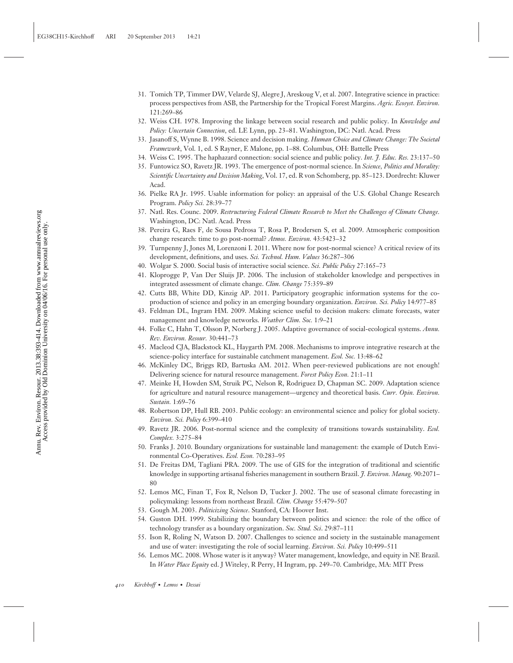- 31. Tomich TP, Timmer DW, Velarde SJ, Alegre J, Areskoug V, et al. 2007. Integrative science in practice: process perspectives from ASB, the Partnership for the Tropical Forest Margins. *Agric. Ecosyst. Environ.* 121:269–86
- 32. Weiss CH. 1978. Improving the linkage between social research and public policy. In *Knowledge and Policy: Uncertain Connection*, ed. LE Lynn, pp. 23–81. Washington, DC: Natl. Acad. Press
- 33. Jasanoff S, Wynne B. 1998. Science and decision making. *Human Choice and Climate Change: The Societal Framework*, Vol. 1, ed. S Rayner, E Malone, pp. 1–88. Columbus, OH: Battelle Press
- 34. Weiss C. 1995. The haphazard connection: social science and public policy. *Int. J. Educ. Res.* 23:137–50
- 35. Funtowicz SO, Ravetz JR. 1993. The emergence of post-normal science. In *Science, Politics and Morality: Scientific Uncertainty and Decision Making*, Vol. 17, ed. R von Schomberg, pp. 85–123. Dordrecht: Kluwer Acad.
- 36. Pielke RA Jr. 1995. Usable information for policy: an appraisal of the U.S. Global Change Research Program. *Policy Sci.* 28:39–77
- 37. Natl. Res. Counc. 2009. *Restructuring Federal Climate Research to Meet the Challenges of Climate Change.* Washington, DC: Natl. Acad. Press
- 38. Pereira G, Raes F, de Sousa Pedrosa T, Rosa P, Brodersen S, et al. 2009. Atmospheric composition change research: time to go post-normal? *Atmos. Environ.* 43:5423–32
- 39. Turnpenny J, Jones M, Lorenzoni I. 2011. Where now for post-normal science? A critical review of its development, definitions, and uses. *Sci. Technol. Hum. Values* 36:287–306
- 40. Wolgar S. 2000. Social basis of interactive social science. *Sci. Public Policy* 27:165–73
- 41. Kloprogge P, Van Der Sluijs JP. 2006. The inclusion of stakeholder knowledge and perspectives in integrated assessment of climate change. *Clim. Change* 75:359–89
- 42. Cutts BB, White DD, Kinzig AP. 2011. Participatory geographic information systems for the coproduction of science and policy in an emerging boundary organization. *Environ. Sci. Policy* 14:977–85
- 43. Feldman DL, Ingram HM. 2009. Making science useful to decision makers: climate forecasts, water management and knowledge networks. *Weather Clim. Soc.* 1:9–21
- 44. Folke C, Hahn T, Olsson P, Norberg J. 2005. Adaptive governance of social-ecological systems. *Annu. Rev. Environ. Resour.* 30:441–73
- 45. Macleod CJA, Blackstock KL, Haygarth PM. 2008. Mechanisms to improve integrative research at the science-policy interface for sustainable catchment management. *Ecol. Soc.* 13:48–62
- 46. McKinley DC, Briggs RD, Bartuska AM. 2012. When peer-reviewed publications are not enough! Delivering science for natural resource management. *Forest Policy Econ.* 21:1–11
- 47. Meinke H, Howden SM, Struik PC, Nelson R, Rodriguez D, Chapman SC. 2009. Adaptation science for agriculture and natural resource management—urgency and theoretical basis. *Curr. Opin. Environ. Sustain.* 1:69–76
- 48. Robertson DP, Hull RB. 2003. Public ecology: an environmental science and policy for global society. *Environ. Sci. Policy* 6:399–410
- 49. Ravetz JR. 2006. Post-normal science and the complexity of transitions towards sustainability. *Ecol. Complex.* 3:275–84
- 50. Franks J. 2010. Boundary organizations for sustainable land management: the example of Dutch Environmental Co-Operatives. *Ecol. Econ.* 70:283–95
- 51. De Freitas DM, Tagliani PRA. 2009. The use of GIS for the integration of traditional and scientific knowledge in supporting artisanal fisheries management in southern Brazil. *J. Environ. Manag.* 90:2071– 80
- 52. Lemos MC, Finan T, Fox R, Nelson D, Tucker J. 2002. The use of seasonal climate forecasting in policymaking: lessons from northeast Brazil. *Clim. Change* 55:479–507
- 53. Gough M. 2003. *Politicizing Science*. Stanford, CA: Hoover Inst.
- 54. Guston DH. 1999. Stabilizing the boundary between politics and science: the role of the office of technology transfer as a boundary organization. *Soc. Stud. Sci*. 29:87–111
- 55. Ison R, Roling N, Watson D. 2007. Challenges to science and society in the sustainable management and use of water: investigating the role of social learning. *Environ. Sci. Policy* 10:499–511
- 56. Lemos MC. 2008. Whose water is it anyway? Water management, knowledge, and equity in NE Brazil. In *Water Place Equity* ed. J Witeley, R Perry, H Ingram, pp. 249–70. Cambridge, MA: MIT Press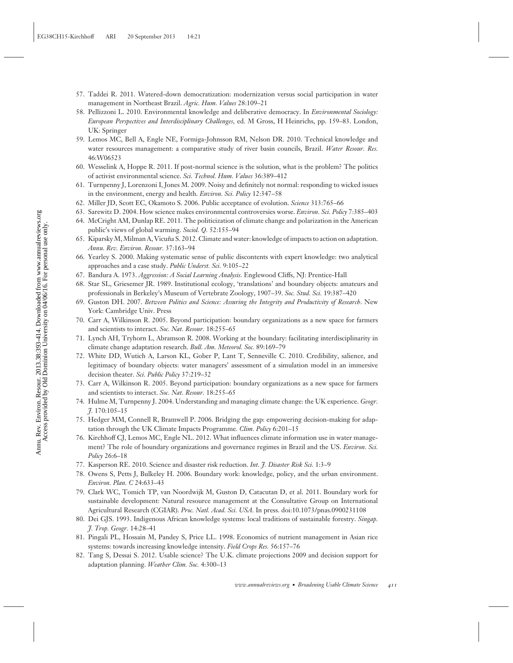- 57. Taddei R. 2011. Watered-down democratization: modernization versus social participation in water management in Northeast Brazil. *Agric. Hum. Values* 28:109–21
- 58. Pellizzoni L. 2010. Environmental knowledge and deliberative democracy. In *Environmental Sociology: European Perspectives and Interdisciplinary Challenges*, ed. M Gross, H Heinrichs, pp. 159–83. London, UK: Springer
- 59. Lemos MC, Bell A, Engle NE, Formiga-Johnsson RM, Nelson DR. 2010. Technical knowledge and water resources management: a comparative study of river basin councils, Brazil. *Water Resour. Res.* 46:W06523
- 60. Wesselink A, Hoppe R. 2011. If post-normal science is the solution, what is the problem? The politics of activist environmental science. *Sci. Technol. Hum. Values* 36:389–412
- 61. Turnpenny J, Lorenzoni I, Jones M. 2009. Noisy and definitely not normal: responding to wicked issues in the environment, energy and health. *Environ. Sci. Policy* 12:347–58
- 62. Miller JD, Scott EC, Okamoto S. 2006. Public acceptance of evolution. *Science* 313:765–66
- 63. Sarewitz D. 2004. How science makes environmental controversies worse. *Environ. Sci. Policy* 7:385–403
- 64. McCright AM, Dunlap RE. 2011. The politicization of climate change and polarization in the American public's views of global warming. *Sociol. Q.* 52:155–94
- 65. Kiparsky M, Milman A, Vicuña S. 2012. Climate and water: knowledge of impacts to action on adaptation *Annu. Rev. Environ. Resour.* 37:163–94
- 66. Yearley S. 2000. Making systematic sense of public discontents with expert knowledge: two analytical approaches and a case study. *Public Underst. Sci.* 9:105–22
- 67. Bandura A. 1973. *Aggression: A Social Learning Analysis*. Englewood Cliffs, NJ: Prentice-Hall
- 68. Star SL, Griesemer JR. 1989. Institutional ecology, 'translations' and boundary objects: amateurs and professionals in Berkeley's Museum of Vertebrate Zoology, 1907–39. *Soc. Stud. Sci.* 19:387–420
- 69. Guston DH. 2007. *Between Politics and Science: Assuring the Integrity and Productivity of Research*. New York: Cambridge Univ. Press
- 70. Carr A, Wilkinson R. 2005. Beyond participation: boundary organizations as a new space for farmers and scientists to interact. *Soc. Nat. Resour.* 18:255–65
- 71. Lynch AH, Tryhorn L, Abramson R. 2008. Working at the boundary: facilitating interdisciplinarity in climate change adaptation research. *Bull. Am. Meteorol. Soc.* 89:169–79
- 72. White DD, Wutich A, Larson KL, Gober P, Lant T, Senneville C. 2010. Credibility, salience, and legitimacy of boundary objects: water managers' assessment of a simulation model in an immersive decision theater. *Sci. Public Policy* 37:219–32
- 73. Carr A, Wilkinson R. 2005. Beyond participation: boundary organizations as a new space for farmers and scientists to interact. *Soc. Nat. Resour.* 18:255–65
- 74. Hulme M, Turnpenny J. 2004. Understanding and managing climate change: the UK experience. *Geogr. J.* 170:105–15
- 75. Hedger MM, Connell R, Bramwell P. 2006. Bridging the gap: empowering decision-making for adaptation through the UK Climate Impacts Programme. *Clim. Policy* 6:201–15
- 76. Kirchhoff CJ, Lemos MC, Engle NL. 2012. What influences climate information use in water management? The role of boundary organizations and governance regimes in Brazil and the US. *Environ. Sci. Policy* 26:6–18
- 77. Kasperson RE. 2010. Science and disaster risk reduction. *Int. J. Disaster Risk Sci.* 1:3–9
- 78. Owens S, Petts J, Bulkeley H. 2006. Boundary work: knowledge, policy, and the urban environment. *Environ. Plan. C* 24:633–43
- 79. Clark WC, Tomich TP, van Noordwijk M, Guston D, Catacutan D, et al. 2011. Boundary work for sustainable development: Natural resource management at the Consultative Group on International Agricultural Research (CGIAR). *Proc. Natl. Acad. Sci. USA.* In press. doi:10.1073/pnas.0900231108
- 80. Dei GJS. 1993. Indigenous African knowledge systems: local traditions of sustainable forestry. *Singap. J. Trop. Geogr.* 14:28–41
- 81. Pingali PL, Hossain M, Pandey S, Price LL. 1998. Economics of nutrient management in Asian rice systems: towards increasing knowledge intensity. *Field Crops Res.* 56:157–76
- 82. Tang S, Dessai S. 2012. Usable science? The U.K. climate projections 2009 and decision support for adaptation planning. *Weather Clim. Soc.* 4:300–13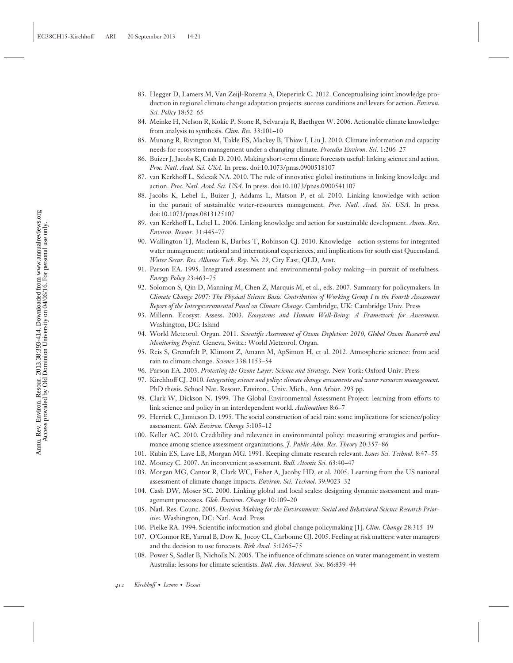- 83. Hegger D, Lamers M, Van Zeijl-Rozema A, Dieperink C. 2012. Conceptualising joint knowledge production in regional climate change adaptation projects: success conditions and levers for action. *Environ. Sci. Policy* 18:52–65
- 84. Meinke H, Nelson R, Kokic P, Stone R, Selvaraju R, Baethgen W. 2006. Actionable climate knowledge: from analysis to synthesis. *Clim. Res.* 33:101–10
- 85. Munang R, Rivington M, Takle ES, Mackey B, Thiaw I, Liu J. 2010. Climate information and capacity needs for ecosystem management under a changing climate. *Procedia Environ. Sci.* 1:206–27
- 86. Buizer J, Jacobs K, Cash D. 2010. Making short-term climate forecasts useful: linking science and action. *Proc. Natl. Acad. Sci. USA.* In press. doi:10.1073/pnas.0900518107
- 87. van Kerkhoff L, Szlezak NA. 2010. The role of innovative global institutions in linking knowledge and action. *Proc. Natl. Acad. Sci. USA.* In press. doi:10.1073/pnas.0900541107
- 88. Jacobs K, Lebel L, Buizer J, Addams L, Matson P, et al. 2010. Linking knowledge with action in the pursuit of sustainable water-resources management. *Proc. Natl. Acad. Sci. USA.* In press. doi:10.1073/pnas.0813125107
- 89. van Kerkhoff L, Lebel L. 2006. Linking knowledge and action for sustainable development. *Annu. Rev. Environ. Resour.* 31:445–77
- 90. Wallington TJ, Maclean K, Darbas T, Robinson CJ. 2010. Knowledge—action systems for integrated water management: national and international experiences, and implications for south east Queensland. *Water Secur. Res. Alliance Tech. Rep. No. 29*, City East, QLD, Aust.
- 91. Parson EA. 1995. Integrated assessment and environmental-policy making—in pursuit of usefulness. *Energy Policy* 23:463–75
- 92. Solomon S, Qin D, Manning M, Chen Z, Marquis M, et al., eds. 2007. Summary for policymakers. In *Climate Change 2007: The Physical Science Basis. Contribution of Working Group I to the Fourth Assessment Report of the Intergovernmental Panel on Climate Change*. Cambridge, UK: Cambridge Univ. Press
- 93. Millenn. Ecosyst. Assess. 2003. *Ecosystems and Human Well-Being: A Framework for Assessment.* Washington, DC: Island
- 94. World Meteorol. Organ. 2011. *Scientific Assessment of Ozone Depletion: 2010, Global Ozone Research and Monitoring Project.* Geneva, Switz.: World Meteorol. Organ.
- 95. Reis S, Grennfelt P, Klimont Z, Amann M, ApSimon H, et al. 2012. Atmospheric science: from acid rain to climate change. *Science* 338:1153–54
- 96. Parson EA. 2003. *Protecting the Ozone Layer: Science and Strategy*. New York: Oxford Univ. Press
- 97. Kirchhoff CJ. 2010. *Integrating science and policy: climate change assessments and water resources management.* PhD thesis. School Nat. Resour. Environ., Univ. Mich., Ann Arbor. 293 pp.
- 98. Clark W, Dickson N. 1999. The Global Environmental Assessment Project: learning from efforts to link science and policy in an interdependent world. *Acclimations* 8:6–7
- 99. Herrick C, Jamieson D. 1995. The social construction of acid rain: some implications for science/policy assessment. *Glob. Environ. Change* 5:105–12
- 100. Keller AC. 2010. Credibility and relevance in environmental policy: measuring strategies and performance among science assessment organizations. *J. Public Adm. Res. Theory* 20:357–86
- 101. Rubin ES, Lave LB, Morgan MG. 1991. Keeping climate research relevant. *Issues Sci. Technol.* 8:47–55
- 102. Mooney C. 2007. An inconvenient assessment. *Bull. Atomic Sci.* 63:40–47
- 103. Morgan MG, Cantor R, Clark WC, Fisher A, Jacoby HD, et al. 2005. Learning from the US national assessment of climate change impacts. *Environ. Sci. Technol.* 39:9023–32
- 104. Cash DW, Moser SC. 2000. Linking global and local scales: designing dynamic assessment and management processes. *Glob. Environ. Change* 10:109–20
- 105. Natl. Res. Counc. 2005. *Decision Making for the Environment: Social and Behavioral Science Research Priorities.* Washington, DC: Natl. Acad. Press
- 106. Pielke RA. 1994. Scientific information and global change policymaking [1]. *Clim. Change* 28:315–19
- 107. O'Connor RE, Yarnal B, Dow K, Jocoy CL, Carbonne GJ. 2005. Feeling at risk matters: water managers and the decision to use forecasts. *Risk Anal.* 5:1265–75
- 108. Power S, Sadler B, Nicholls N. 2005. The influence of climate science on water management in western Australia: lessons for climate scientists. *Bull. Am. Meteorol. Soc.* 86:839–44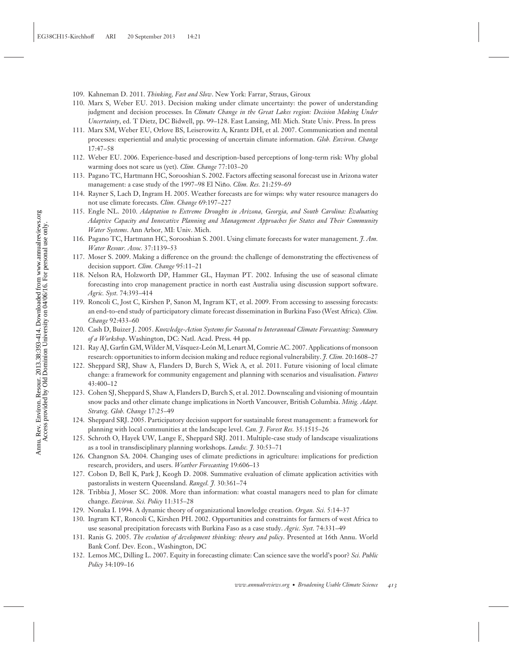- 109. Kahneman D. 2011. *Thinking, Fast and Slow*. New York: Farrar, Straus, Giroux
- 110. Marx S, Weber EU. 2013. Decision making under climate uncertainty: the power of understanding judgment and decision processes. In *Climate Change in the Great Lakes region: Decision Making Under Uncertainty*, ed. T Dietz, DC Bidwell, pp. 99–128. East Lansing, MI: Mich. State Univ. Press. In press
- 111. Marx SM, Weber EU, Orlove BS, Leiserowitz A, Krantz DH, et al. 2007. Communication and mental processes: experiential and analytic processing of uncertain climate information. *Glob. Environ. Change* 17:47–58
- 112. Weber EU. 2006. Experience-based and description-based perceptions of long-term risk: Why global warming does not scare us (yet). *Clim. Change* 77:103–20
- 113. Pagano TC, Hartmann HC, Sorooshian S. 2002. Factors affecting seasonal forecast use in Arizona water management: a case study of the 1997-98 El Niño. Clim. Res. 21:259-69
- 114. Rayner S, Lach D, Ingram H. 2005. Weather forecasts are for wimps: why water resource managers do not use climate forecasts. *Clim. Change* 69:197–227
- 115. Engle NL. 2010. *Adaptation to Extreme Droughts in Arizona, Georgia, and South Carolina: Evaluating Adaptive Capacity and Innovative Planning and Management Approaches for States and Their Community Water Systems*. Ann Arbor, MI: Univ. Mich.
- 116. Pagano TC, Hartmann HC, Sorooshian S. 2001. Using climate forecasts for water management. *J. Am. Water Resour. Assoc.* 37:1139–53
- 117. Moser S. 2009. Making a difference on the ground: the challenge of demonstrating the effectiveness of decision support. *Clim. Change* 95:11–21
- 118. Nelson RA, Holzworth DP, Hammer GL, Hayman PT. 2002. Infusing the use of seasonal climate forecasting into crop management practice in north east Australia using discussion support software. *Agric. Syst.* 74:393–414
- 119. Roncoli C, Jost C, Kirshen P, Sanon M, Ingram KT, et al. 2009. From accessing to assessing forecasts: an end-to-end study of participatory climate forecast dissemination in Burkina Faso (West Africa). *Clim. Change* 92:433–60
- 120. Cash D, Buizer J. 2005. *Knowledge-Action Systems for Seasonal to Interannual Climate Forecasting: Summary of a Workshop*. Washington, DC: Natl. Acad. Press. 44 pp.
- 121. Ray AJ, Garfin GM, Wilder M, Vásquez-León M, Lenart M, Comrie AC. 2007. Applications of monsoon research: opportunities to inform decision making and reduce regional vulnerability. *J. Clim.* 20:1608–27
- 122. Sheppard SRJ, Shaw A, Flanders D, Burch S, Wiek A, et al. 2011. Future visioning of local climate change: a framework for community engagement and planning with scenarios and visualisation. *Futures* 43:400–12
- 123. Cohen SJ, Sheppard S, Shaw A, Flanders D, Burch S, et al. 2012. Downscaling and visioning of mountain snow packs and other climate change implications in North Vancouver, British Columbia. *Mitig. Adapt. Strateg. Glob. Change* 17:25–49
- 124. Sheppard SRJ. 2005. Participatory decision support for sustainable forest management: a framework for planning with local communities at the landscape level. *Can. J. Forest Res.* 35:1515–26
- 125. Schroth O, Hayek UW, Lange E, Sheppard SRJ. 2011. Multiple-case study of landscape visualizations as a tool in transdisciplinary planning workshops. *Landsc. J.* 30:53–71
- 126. Changnon SA. 2004. Changing uses of climate predictions in agriculture: implications for prediction research, providers, and users. *Weather Forecasting* 19:606–13
- 127. Cobon D, Bell K, Park J, Keogh D. 2008. Summative evaluation of climate application activities with pastoralists in western Queensland. *Rangel. J.* 30:361–74
- 128. Tribbia J, Moser SC. 2008. More than information: what coastal managers need to plan for climate change. *Environ. Sci. Policy* 11:315–28
- 129. Nonaka I. 1994. A dynamic theory of organizational knowledge creation. *Organ. Sci.* 5:14–37
- 130. Ingram KT, Roncoli C, Kirshen PH. 2002. Opportunities and constraints for farmers of west Africa to use seasonal precipitation forecasts with Burkina Faso as a case study. *Agric. Syst.* 74:331–49
- 131. Ranis G. 2005. *The evolution of development thinking: theory and policy*. Presented at 16th Annu. World Bank Conf. Dev. Econ., Washington, DC
- 132. Lemos MC, Dilling L. 2007. Equity in forecasting climate: Can science save the world's poor? *Sci. Public Policy* 34:109–16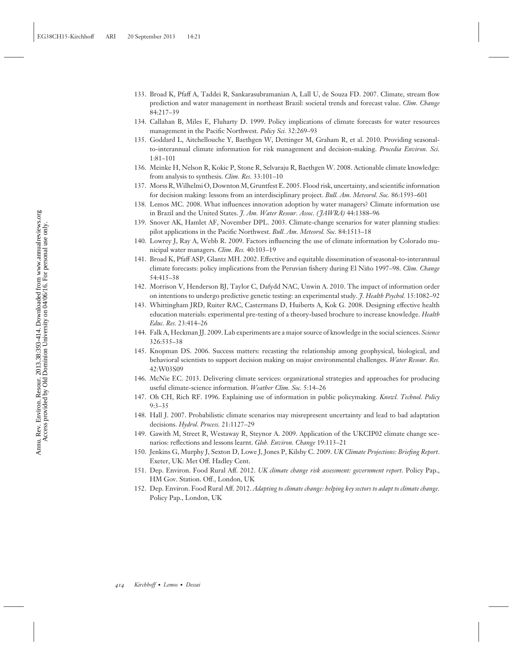- 133. Broad K, Pfaff A, Taddei R, Sankarasubramanian A, Lall U, de Souza FD. 2007. Climate, stream flow prediction and water management in northeast Brazil: societal trends and forecast value. *Clim. Change* 84:217–39
- 134. Callahan B, Miles E, Fluharty D. 1999. Policy implications of climate forecasts for water resources management in the Pacific Northwest. *Policy Sci.* 32:269–93
- 135. Goddard L, Aitchellouche Y, Baethgen W, Dettinger M, Graham R, et al. 2010. Providing seasonalto-interannual climate information for risk management and decision-making. *Procedia Environ. Sci.* 1:81–101
- 136. Meinke H, Nelson R, Kokic P, Stone R, Selvaraju R, Baethgen W. 2008. Actionable climate knowledge: from analysis to synthesis. *Clim. Res.* 33:101–10
- 137. Morss R, Wilhelmi O, Downton M, Gruntfest E. 2005. Flood risk, uncertainty, and scientific information for decision making: lessons from an interdisciplinary project. *Bull. Am. Meteorol. Soc.* 86:1593–601
- 138. Lemos MC. 2008. What influences innovation adoption by water managers? Climate information use in Brazil and the United States. *J. Am. Water Resour. Assoc. ( JAWRA)* 44:1388–96
- 139. Snover AK, Hamlet AF, November DPL. 2003. Climate-change scenarios for water planning studies: pilot applications in the Pacific Northwest. *Bull. Am. Meteorol. Soc.* 84:1513–18
- 140. Lowrey J, Ray A, Webb R. 2009. Factors influencing the use of climate information by Colorado municipal water managers. *Clim. Res.* 40:103–19
- 141. Broad K, Pfaff ASP, Glantz MH. 2002. Effective and equitable dissemination of seasonal-to-interannual climate forecasts: policy implications from the Peruvian fishery during El Niño 1997–98. Clim. Change 54:415–38
- 142. Morrison V, Henderson BJ, Taylor C, Dafydd NAC, Unwin A. 2010. The impact of information order on intentions to undergo predictive genetic testing: an experimental study. *J. Health Psychol.* 15:1082–92
- 143. Whittingham JRD, Ruiter RAC, Castermans D, Huiberts A, Kok G. 2008. Designing effective health education materials: experimental pre-testing of a theory-based brochure to increase knowledge. *Health Educ. Res.* 23:414–26
- 144. Falk A, Heckman JJ. 2009. Lab experiments are a major source of knowledge in the social sciences. *Science* 326:535–38
- 145. Knopman DS. 2006. Success matters: recasting the relationship among geophysical, biological, and behavioral scientists to support decision making on major environmental challenges. *Water Resour. Res.* 42:W03S09
- 146. McNie EC. 2013. Delivering climate services: organizational strategies and approaches for producing useful climate-science information. *Weather Clim. Soc.* 5:14–26
- 147. Oh CH, Rich RF. 1996. Explaining use of information in public policymaking. *Knowl. Technol. Policy* 9:3–35
- 148. Hall J. 2007. Probabilistic climate scenarios may misrepresent uncertainty and lead to bad adaptation decisions. *Hydrol. Process.* 21:1127–29
- 149. Gawith M, Street R, Westaway R, Steynor A. 2009. Application of the UKCIP02 climate change scenarios: reflections and lessons learnt. *Glob. Environ. Change* 19:113–21
- 150. Jenkins G, Murphy J, Sexton D, Lowe J, Jones P, Kilsby C. 2009. *UK Climate Projections: Briefing Report*. Exeter, UK: Met Off. Hadley Cent.
- 151. Dep. Environ. Food Rural Aff. 2012. *UK climate change risk assessment: government report*. Policy Pap., HM Gov. Station. Off., London, UK
- 152. Dep. Environ. Food Rural Aff. 2012. *Adapting to climate change: helping key sectors to adapt to climate change.* Policy Pap., London, UK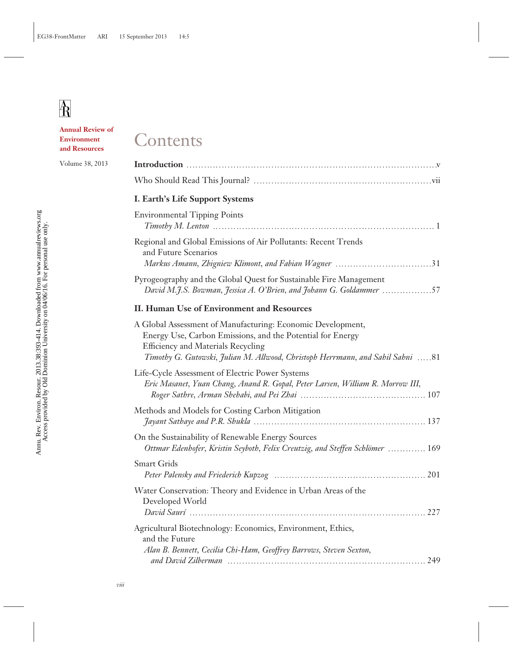**Annual Review of Environment and Resources**

Volume 38, 2013

# Contents

# **I. Earth's Life Support Systems**

| <b>Environmental Tipping Points</b><br>$Timotby M.$ Lenton $\ldots$ $\ldots$ $\ldots$ $\ldots$ $\ldots$ $\ldots$ $\ldots$                                                                                                                                |
|----------------------------------------------------------------------------------------------------------------------------------------------------------------------------------------------------------------------------------------------------------|
| Regional and Global Emissions of Air Pollutants: Recent Trends<br>and Future Scenarios<br>Markus Amann, Zbigniew Klimont, and Fabian Wagner 31                                                                                                           |
| Pyrogeography and the Global Quest for Sustainable Fire Management<br>David M.J.S. Bowman, Jessica A. O'Brien, and Johann G. Goldammer 57                                                                                                                |
| II. Human Use of Environment and Resources                                                                                                                                                                                                               |
| A Global Assessment of Manufacturing: Economic Development,<br>Energy Use, Carbon Emissions, and the Potential for Energy<br><b>Efficiency and Materials Recycling</b><br>Timothy G. Gutowski, Julian M. Allwood, Christoph Herrmann, and Sahil Sahni 81 |
| Life-Cycle Assessment of Electric Power Systems<br>Eric Masanet, Yuan Chang, Anand R. Gopal, Peter Larsen, William R. Morrow III,                                                                                                                        |
| Methods and Models for Costing Carbon Mitigation                                                                                                                                                                                                         |
| On the Sustainability of Renewable Energy Sources<br>Ottmar Edenhofer, Kristin Seyboth, Felix Creutzig, and Steffen Schlömer  169                                                                                                                        |
| <b>Smart Grids</b>                                                                                                                                                                                                                                       |
| Water Conservation: Theory and Evidence in Urban Areas of the<br>Developed World                                                                                                                                                                         |
| Agricultural Biotechnology: Economics, Environment, Ethics,<br>and the Future<br>Alan B. Bennett, Cecilia Chi-Ham, Geoffrey Barrows, Steven Sexton,                                                                                                      |
|                                                                                                                                                                                                                                                          |